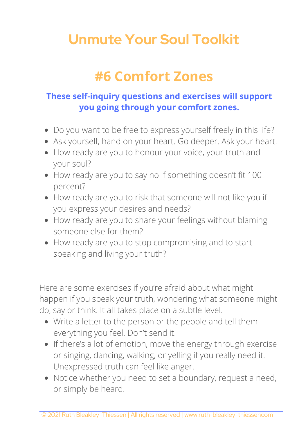## **Unmute Your Soul Toolkit**

## **#6 Comfort Zones**

## **These self-inquiry questions and exercises will support you going through your comfort zones.**

- Do you want to be free to express yourself freely in this life?
- Ask yourself, hand on your heart. Go deeper. Ask your heart.
- How ready are you to honour your voice, your truth and your soul?
- How ready are you to say no if something doesn't fit 100 percent?
- How ready are you to risk that someone will not like you if you express your desires and needs?
- How ready are you to share your feelings without blaming someone else for them?
- How ready are you to stop compromising and to start speaking and living your truth?

Here are some exercises if you're afraid about what might happen if you speak your truth, wondering what someone might do, say or think. It all takes place on a subtle level.

- Write a letter to the person or the people and tell them everything you feel. Don't send it!
- If there's a lot of emotion, move the energy through exercise or singing, dancing, walking, or yelling if you really need it. Unexpressed truth can feel like anger.
- Notice whether you need to set a boundary, request a need, or simply be heard.